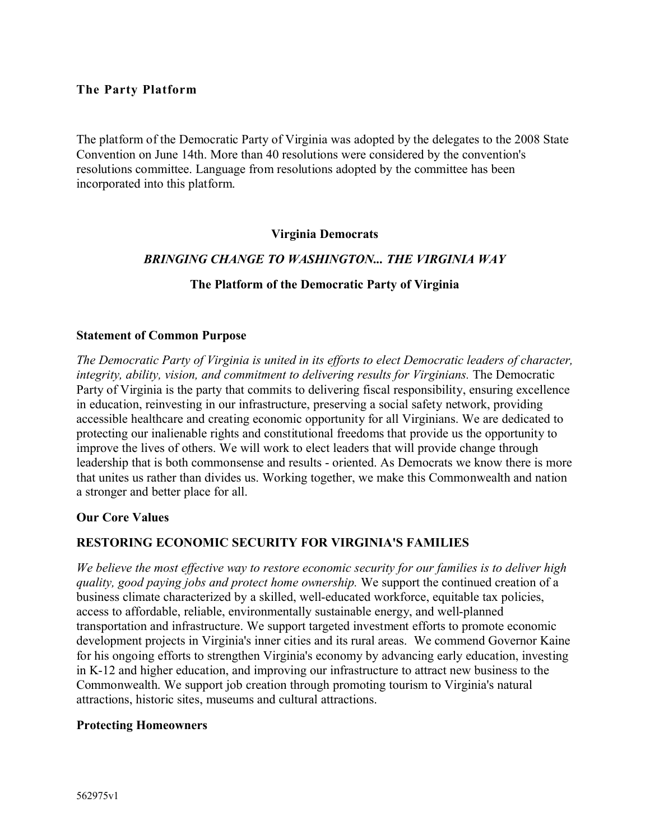#### **The Party Platform**

The platform of the Democratic Party of Virginia was adopted by the delegates to the 2008 State Convention on June 14th. More than 40 resolutions were considered by the convention's resolutions committee. Language from resolutions adopted by the committee has been incorporated into this platform.

#### **Virginia Democrats**

#### *BRINGING CHANGE TO WASHINGTON... THE VIRGINIA WAY*

#### **The Platform of the Democratic Party of Virginia**

#### **Statement of Common Purpose**

*The Democratic Party of Virginia is united in its efforts to elect Democratic leaders of character, integrity, ability, vision, and commitment to delivering results for Virginians.* The Democratic Party of Virginia is the party that commits to delivering fiscal responsibility, ensuring excellence in education, reinvesting in our infrastructure, preserving a social safety network, providing accessible healthcare and creating economic opportunity for all Virginians. We are dedicated to protecting our inalienable rights and constitutional freedoms that provide us the opportunity to improve the lives of others. We will work to elect leaders that will provide change through leadership that is both commonsense and results - oriented. As Democrats we know there is more that unites us rather than divides us. Working together, we make this Commonwealth and nation a stronger and better place for all.

#### **Our Core Values**

#### **RESTORING ECONOMIC SECURITY FOR VIRGINIA'S FAMILIES**

*We believe the most effective way to restore economic security for our families is to deliver high quality, good paying jobs and protect home ownership.* We support the continued creation of a business climate characterized by a skilled, well-educated workforce, equitable tax policies, access to affordable, reliable, environmentally sustainable energy, and well-planned transportation and infrastructure. We support targeted investment efforts to promote economic development projects in Virginia's inner cities and its rural areas. We commend Governor Kaine for his ongoing efforts to strengthen Virginia's economy by advancing early education, investing in K-12 and higher education, and improving our infrastructure to attract new business to the Commonwealth. We support job creation through promoting tourism to Virginia's natural attractions, historic sites, museums and cultural attractions.

#### **Protecting Homeowners**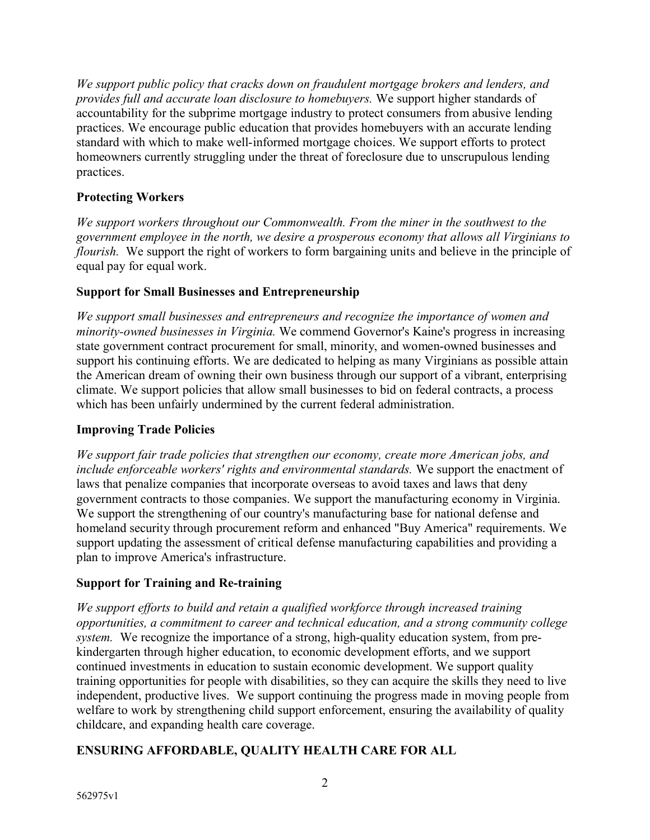*We support public policy that cracks down on fraudulent mortgage brokers and lenders, and provides full and accurate loan disclosure to homebuyers.* We support higher standards of accountability for the subprime mortgage industry to protect consumers from abusive lending practices. We encourage public education that provides homebuyers with an accurate lending standard with which to make well-informed mortgage choices. We support efforts to protect homeowners currently struggling under the threat of foreclosure due to unscrupulous lending practices.

### **Protecting Workers**

*We support workers throughout our Commonwealth. From the miner in the southwest to the government employee in the north, we desire a prosperous economy that allows all Virginians to flourish.* We support the right of workers to form bargaining units and believe in the principle of equal pay for equal work.

## **Support for Small Businesses and Entrepreneurship**

*We support small businesses and entrepreneurs and recognize the importance of women and minority-owned businesses in Virginia.* We commend Governor's Kaine's progress in increasing state government contract procurement for small, minority, and women-owned businesses and support his continuing efforts. We are dedicated to helping as many Virginians as possible attain the American dream of owning their own business through our support of a vibrant, enterprising climate. We support policies that allow small businesses to bid on federal contracts, a process which has been unfairly undermined by the current federal administration.

### **Improving Trade Policies**

*We support fair trade policies that strengthen our economy, create more American jobs, and include enforceable workers' rights and environmental standards.* We support the enactment of laws that penalize companies that incorporate overseas to avoid taxes and laws that deny government contracts to those companies. We support the manufacturing economy in Virginia. We support the strengthening of our country's manufacturing base for national defense and homeland security through procurement reform and enhanced "Buy America" requirements. We support updating the assessment of critical defense manufacturing capabilities and providing a plan to improve America's infrastructure.

# **Support for Training and Re-training**

*We support efforts to build and retain a qualified workforce through increased training opportunities, a commitment to career and technical education, and a strong community college system.* We recognize the importance of a strong, high-quality education system, from prekindergarten through higher education, to economic development efforts, and we support continued investments in education to sustain economic development. We support quality training opportunities for people with disabilities, so they can acquire the skills they need to live independent, productive lives. We support continuing the progress made in moving people from welfare to work by strengthening child support enforcement, ensuring the availability of quality childcare, and expanding health care coverage.

# **ENSURING AFFORDABLE, QUALITY HEALTH CARE FOR ALL**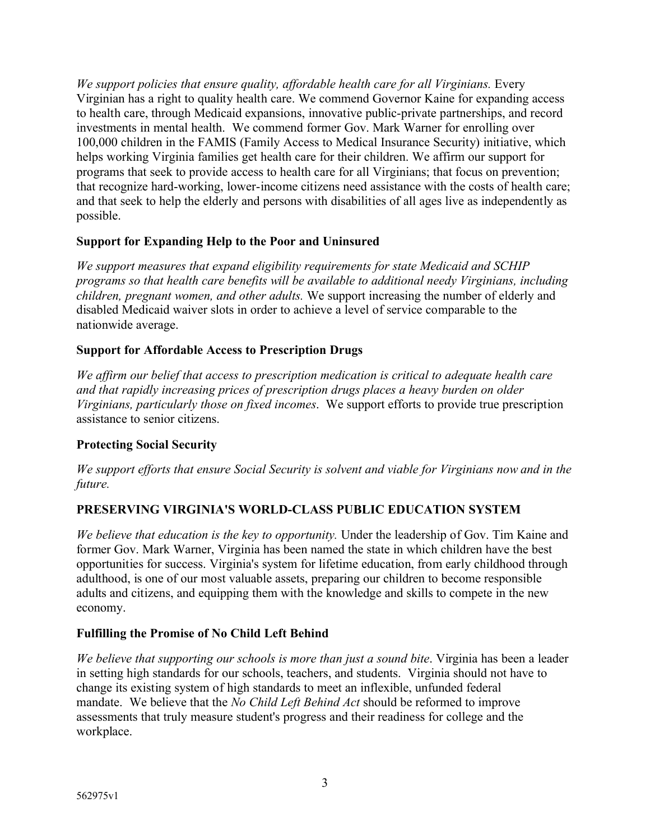*We support policies that ensure quality, affordable health care for all Virginians.* Every Virginian has a right to quality health care. We commend Governor Kaine for expanding access to health care, through Medicaid expansions, innovative public-private partnerships, and record investments in mental health. We commend former Gov. Mark Warner for enrolling over 100,000 children in the FAMIS (Family Access to Medical Insurance Security) initiative, which helps working Virginia families get health care for their children. We affirm our support for programs that seek to provide access to health care for all Virginians; that focus on prevention; that recognize hard-working, lower-income citizens need assistance with the costs of health care; and that seek to help the elderly and persons with disabilities of all ages live as independently as possible.

### **Support for Expanding Help to the Poor and Uninsured**

*We support measures that expand eligibility requirements for state Medicaid and SCHIP programs so that health care benefits will be available to additional needy Virginians, including children, pregnant women, and other adults.* We support increasing the number of elderly and disabled Medicaid waiver slots in order to achieve a level of service comparable to the nationwide average.

### **Support for Affordable Access to Prescription Drugs**

*We affirm our belief that access to prescription medication is critical to adequate health care and that rapidly increasing prices of prescription drugs places a heavy burden on older Virginians, particularly those on fixed incomes*. We support efforts to provide true prescription assistance to senior citizens.

#### **Protecting Social Security**

*We support efforts that ensure Social Security is solvent and viable for Virginians now and in the future.* 

### **PRESERVING VIRGINIA'S WORLD-CLASS PUBLIC EDUCATION SYSTEM**

*We believe that education is the key to opportunity.* Under the leadership of Gov. Tim Kaine and former Gov. Mark Warner, Virginia has been named the state in which children have the best opportunities for success. Virginia's system for lifetime education, from early childhood through adulthood, is one of our most valuable assets, preparing our children to become responsible adults and citizens, and equipping them with the knowledge and skills to compete in the new economy.

#### **Fulfilling the Promise of No Child Left Behind**

*We believe that supporting our schools is more than just a sound bite*. Virginia has been a leader in setting high standards for our schools, teachers, and students. Virginia should not have to change its existing system of high standards to meet an inflexible, unfunded federal mandate. We believe that the *No Child Left Behind Act* should be reformed to improve assessments that truly measure student's progress and their readiness for college and the workplace.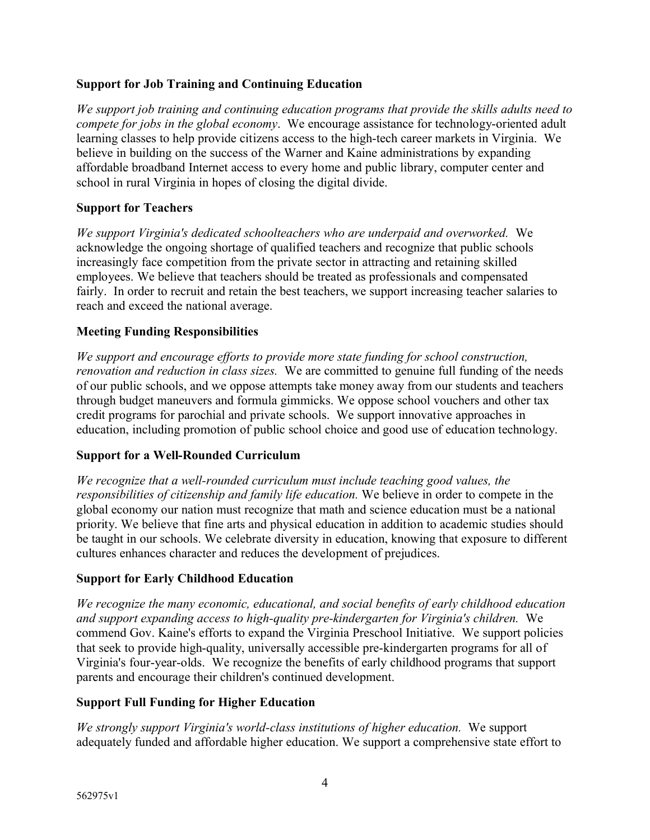### **Support for Job Training and Continuing Education**

*We support job training and continuing education programs that provide the skills adults need to compete for jobs in the global economy*. We encourage assistance for technology-oriented adult learning classes to help provide citizens access to the high-tech career markets in Virginia. We believe in building on the success of the Warner and Kaine administrations by expanding affordable broadband Internet access to every home and public library, computer center and school in rural Virginia in hopes of closing the digital divide.

#### **Support for Teachers**

*We support Virginia's dedicated schoolteachers who are underpaid and overworked.* We acknowledge the ongoing shortage of qualified teachers and recognize that public schools increasingly face competition from the private sector in attracting and retaining skilled employees. We believe that teachers should be treated as professionals and compensated fairly. In order to recruit and retain the best teachers, we support increasing teacher salaries to reach and exceed the national average.

#### **Meeting Funding Responsibilities**

*We support and encourage efforts to provide more state funding for school construction, renovation and reduction in class sizes.* We are committed to genuine full funding of the needs of our public schools, and we oppose attempts take money away from our students and teachers through budget maneuvers and formula gimmicks. We oppose school vouchers and other tax credit programs for parochial and private schools. We support innovative approaches in education, including promotion of public school choice and good use of education technology.

#### **Support for a Well-Rounded Curriculum**

*We recognize that a well-rounded curriculum must include teaching good values, the responsibilities of citizenship and family life education.* We believe in order to compete in the global economy our nation must recognize that math and science education must be a national priority. We believe that fine arts and physical education in addition to academic studies should be taught in our schools. We celebrate diversity in education, knowing that exposure to different cultures enhances character and reduces the development of prejudices.

#### **Support for Early Childhood Education**

*We recognize the many economic, educational, and social benefits of early childhood education and support expanding access to high-quality pre-kindergarten for Virginia's children.* We commend Gov. Kaine's efforts to expand the Virginia Preschool Initiative. We support policies that seek to provide high-quality, universally accessible pre-kindergarten programs for all of Virginia's four-year-olds. We recognize the benefits of early childhood programs that support parents and encourage their children's continued development.

#### **Support Full Funding for Higher Education**

*We strongly support Virginia's world-class institutions of higher education.* We support adequately funded and affordable higher education. We support a comprehensive state effort to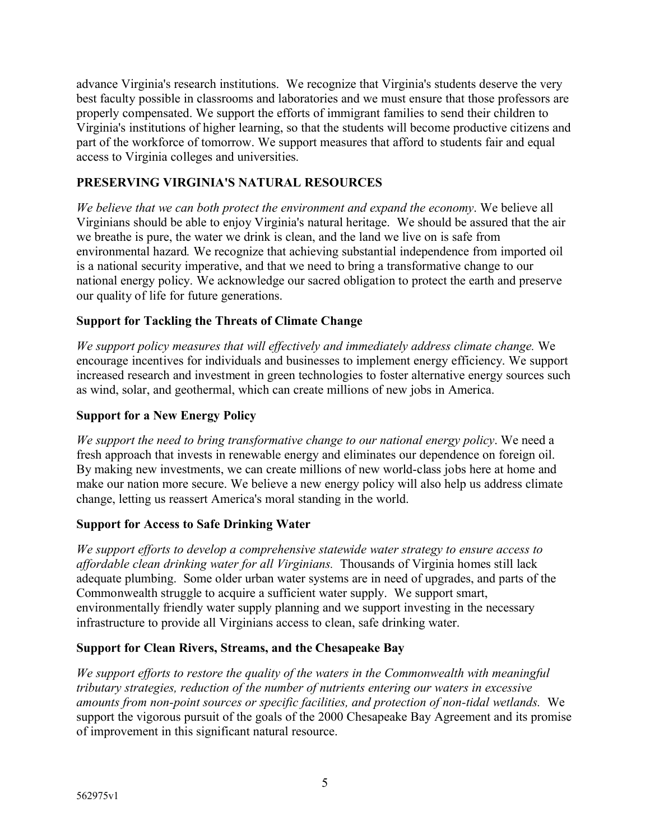advance Virginia's research institutions. We recognize that Virginia's students deserve the very best faculty possible in classrooms and laboratories and we must ensure that those professors are properly compensated. We support the efforts of immigrant families to send their children to Virginia's institutions of higher learning, so that the students will become productive citizens and part of the workforce of tomorrow. We support measures that afford to students fair and equal access to Virginia colleges and universities.

## **PRESERVING VIRGINIA'S NATURAL RESOURCES**

*We believe that we can both protect the environment and expand the economy*. We believe all Virginians should be able to enjoy Virginia's natural heritage. We should be assured that the air we breathe is pure, the water we drink is clean, and the land we live on is safe from environmental hazard*.* We recognize that achieving substantial independence from imported oil is a national security imperative, and that we need to bring a transformative change to our national energy policy. We acknowledge our sacred obligation to protect the earth and preserve our quality of life for future generations.

## **Support for Tackling the Threats of Climate Change**

*We support policy measures that will effectively and immediately address climate change.* We encourage incentives for individuals and businesses to implement energy efficiency. We support increased research and investment in green technologies to foster alternative energy sources such as wind, solar, and geothermal, which can create millions of new jobs in America.

### **Support for a New Energy Policy**

*We support the need to bring transformative change to our national energy policy*. We need a fresh approach that invests in renewable energy and eliminates our dependence on foreign oil. By making new investments, we can create millions of new world-class jobs here at home and make our nation more secure. We believe a new energy policy will also help us address climate change, letting us reassert America's moral standing in the world.

### **Support for Access to Safe Drinking Water**

*We support efforts to develop a comprehensive statewide water strategy to ensure access to affordable clean drinking water for all Virginians.* Thousands of Virginia homes still lack adequate plumbing. Some older urban water systems are in need of upgrades, and parts of the Commonwealth struggle to acquire a sufficient water supply. We support smart, environmentally friendly water supply planning and we support investing in the necessary infrastructure to provide all Virginians access to clean, safe drinking water.

### **Support for Clean Rivers, Streams, and the Chesapeake Bay**

*We support efforts to restore the quality of the waters in the Commonwealth with meaningful tributary strategies, reduction of the number of nutrients entering our waters in excessive amounts from non-point sources or specific facilities, and protection of non-tidal wetlands.* We support the vigorous pursuit of the goals of the 2000 Chesapeake Bay Agreement and its promise of improvement in this significant natural resource.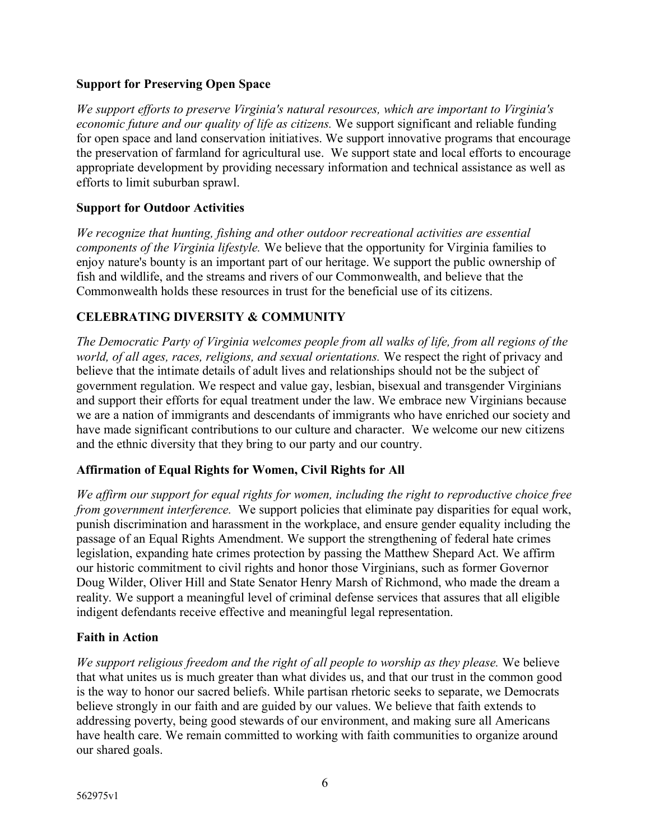#### **Support for Preserving Open Space**

*We support efforts to preserve Virginia's natural resources, which are important to Virginia's economic future and our quality of life as citizens.* We support significant and reliable funding for open space and land conservation initiatives. We support innovative programs that encourage the preservation of farmland for agricultural use. We support state and local efforts to encourage appropriate development by providing necessary information and technical assistance as well as efforts to limit suburban sprawl.

#### **Support for Outdoor Activities**

*We recognize that hunting, fishing and other outdoor recreational activities are essential components of the Virginia lifestyle.* We believe that the opportunity for Virginia families to enjoy nature's bounty is an important part of our heritage. We support the public ownership of fish and wildlife, and the streams and rivers of our Commonwealth, and believe that the Commonwealth holds these resources in trust for the beneficial use of its citizens.

### **CELEBRATING DIVERSITY & COMMUNITY**

*The Democratic Party of Virginia welcomes people from all walks of life, from all regions of the world, of all ages, races, religions, and sexual orientations.* We respect the right of privacy and believe that the intimate details of adult lives and relationships should not be the subject of government regulation. We respect and value gay, lesbian, bisexual and transgender Virginians and support their efforts for equal treatment under the law. We embrace new Virginians because we are a nation of immigrants and descendants of immigrants who have enriched our society and have made significant contributions to our culture and character. We welcome our new citizens and the ethnic diversity that they bring to our party and our country.

### **Affirmation of Equal Rights for Women, Civil Rights for All**

*We affirm our support for equal rights for women, including the right to reproductive choice free from government interference.* We support policies that eliminate pay disparities for equal work, punish discrimination and harassment in the workplace, and ensure gender equality including the passage of an Equal Rights Amendment. We support the strengthening of federal hate crimes legislation, expanding hate crimes protection by passing the Matthew Shepard Act. We affirm our historic commitment to civil rights and honor those Virginians, such as former Governor Doug Wilder, Oliver Hill and State Senator Henry Marsh of Richmond, who made the dream a reality. We support a meaningful level of criminal defense services that assures that all eligible indigent defendants receive effective and meaningful legal representation.

#### **Faith in Action**

*We support religious freedom and the right of all people to worship as they please.* We believe that what unites us is much greater than what divides us, and that our trust in the common good is the way to honor our sacred beliefs. While partisan rhetoric seeks to separate, we Democrats believe strongly in our faith and are guided by our values. We believe that faith extends to addressing poverty, being good stewards of our environment, and making sure all Americans have health care. We remain committed to working with faith communities to organize around our shared goals.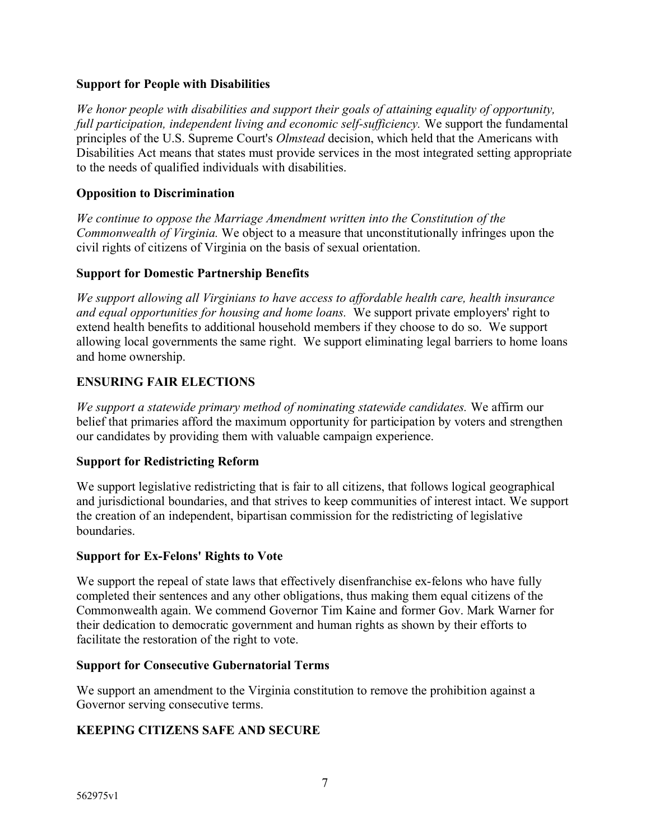#### **Support for People with Disabilities**

*We honor people with disabilities and support their goals of attaining equality of opportunity, full participation, independent living and economic self-sufficiency.* We support the fundamental principles of the U.S. Supreme Court's *Olmstead* decision, which held that the Americans with Disabilities Act means that states must provide services in the most integrated setting appropriate to the needs of qualified individuals with disabilities.

#### **Opposition to Discrimination**

*We continue to oppose the Marriage Amendment written into the Constitution of the Commonwealth of Virginia.* We object to a measure that unconstitutionally infringes upon the civil rights of citizens of Virginia on the basis of sexual orientation.

#### **Support for Domestic Partnership Benefits**

*We support allowing all Virginians to have access to affordable health care, health insurance and equal opportunities for housing and home loans.* We support private employers' right to extend health benefits to additional household members if they choose to do so. We support allowing local governments the same right. We support eliminating legal barriers to home loans and home ownership.

### **ENSURING FAIR ELECTIONS**

*We support a statewide primary method of nominating statewide candidates.* We affirm our belief that primaries afford the maximum opportunity for participation by voters and strengthen our candidates by providing them with valuable campaign experience.

#### **Support for Redistricting Reform**

We support legislative redistricting that is fair to all citizens, that follows logical geographical and jurisdictional boundaries, and that strives to keep communities of interest intact. We support the creation of an independent, bipartisan commission for the redistricting of legislative boundaries.

#### **Support for Ex-Felons' Rights to Vote**

We support the repeal of state laws that effectively disenfranchise ex-felons who have fully completed their sentences and any other obligations, thus making them equal citizens of the Commonwealth again. We commend Governor Tim Kaine and former Gov. Mark Warner for their dedication to democratic government and human rights as shown by their efforts to facilitate the restoration of the right to vote.

#### **Support for Consecutive Gubernatorial Terms**

We support an amendment to the Virginia constitution to remove the prohibition against a Governor serving consecutive terms.

### **KEEPING CITIZENS SAFE AND SECURE**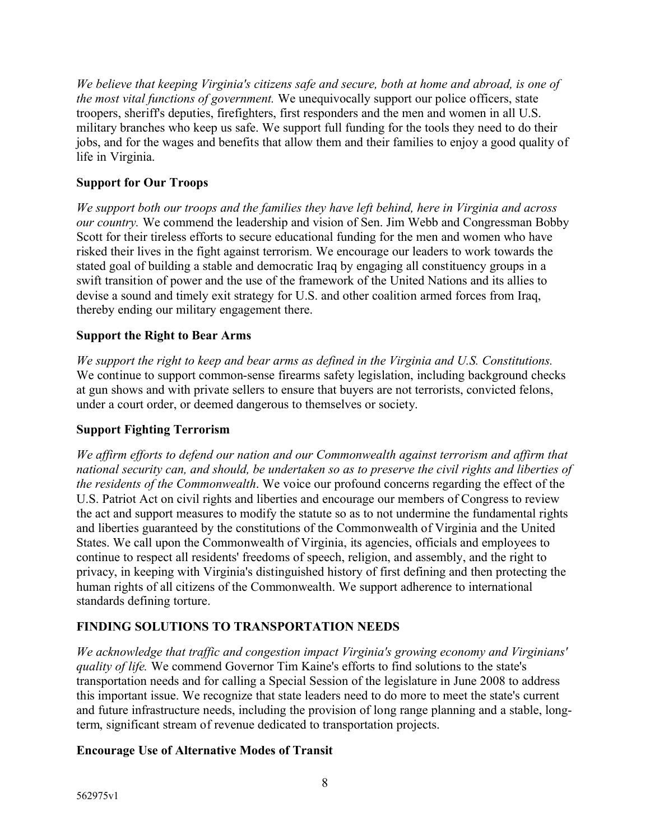*We believe that keeping Virginia's citizens safe and secure, both at home and abroad, is one of the most vital functions of government.* We unequivocally support our police officers, state troopers, sheriff's deputies, firefighters, first responders and the men and women in all U.S. military branches who keep us safe. We support full funding for the tools they need to do their jobs, and for the wages and benefits that allow them and their families to enjoy a good quality of life in Virginia.

### **Support for Our Troops**

*We support both our troops and the families they have left behind, here in Virginia and across our country.* We commend the leadership and vision of Sen. Jim Webb and Congressman Bobby Scott for their tireless efforts to secure educational funding for the men and women who have risked their lives in the fight against terrorism. We encourage our leaders to work towards the stated goal of building a stable and democratic Iraq by engaging all constituency groups in a swift transition of power and the use of the framework of the United Nations and its allies to devise a sound and timely exit strategy for U.S. and other coalition armed forces from Iraq, thereby ending our military engagement there.

### **Support the Right to Bear Arms**

*We support the right to keep and bear arms as defined in the Virginia and U.S. Constitutions.* We continue to support common-sense firearms safety legislation, including background checks at gun shows and with private sellers to ensure that buyers are not terrorists, convicted felons, under a court order, or deemed dangerous to themselves or society.

### **Support Fighting Terrorism**

*We affirm efforts to defend our nation and our Commonwealth against terrorism and affirm that national security can, and should, be undertaken so as to preserve the civil rights and liberties of the residents of the Commonwealth*. We voice our profound concerns regarding the effect of the U.S. Patriot Act on civil rights and liberties and encourage our members of Congress to review the act and support measures to modify the statute so as to not undermine the fundamental rights and liberties guaranteed by the constitutions of the Commonwealth of Virginia and the United States. We call upon the Commonwealth of Virginia, its agencies, officials and employees to continue to respect all residents' freedoms of speech, religion, and assembly, and the right to privacy, in keeping with Virginia's distinguished history of first defining and then protecting the human rights of all citizens of the Commonwealth. We support adherence to international standards defining torture.

# **FINDING SOLUTIONS TO TRANSPORTATION NEEDS**

*We acknowledge that traffic and congestion impact Virginia's growing economy and Virginians' quality of life.* We commend Governor Tim Kaine's efforts to find solutions to the state's transportation needs and for calling a Special Session of the legislature in June 2008 to address this important issue. We recognize that state leaders need to do more to meet the state's current and future infrastructure needs, including the provision of long range planning and a stable, longterm, significant stream of revenue dedicated to transportation projects.

### **Encourage Use of Alternative Modes of Transit**